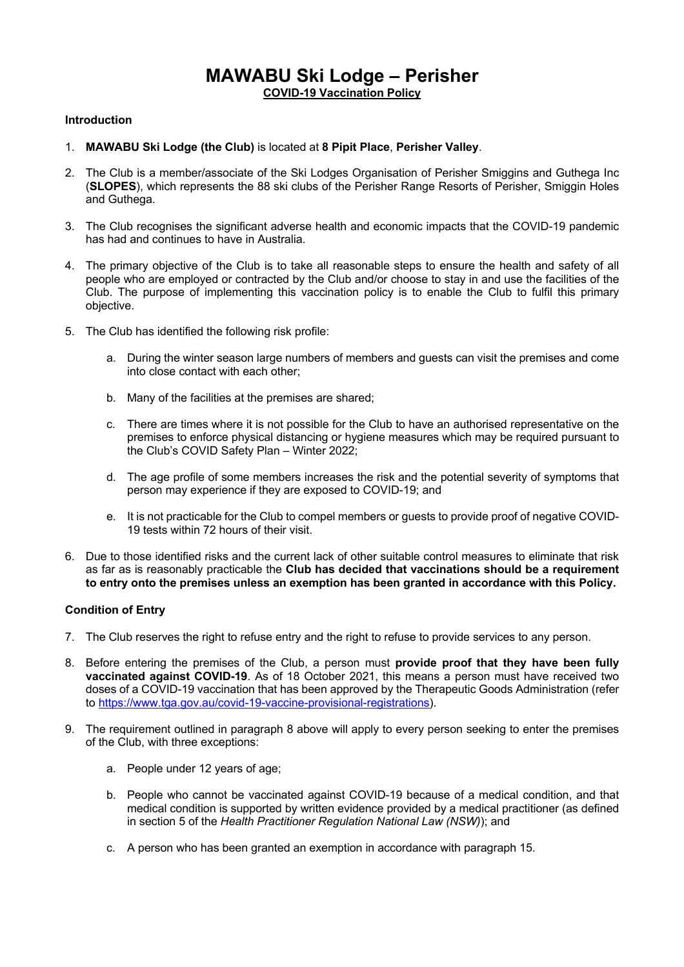# **MAWABU Ski Lodge – Perisher COVID-19 Vaccination Policy**

## **Introduction**

- 1. **MAWABU Ski Lodge (the Club)** is located at **8 Pipit Place**, **Perisher Valley**.
- 2. The Club is a member/associate of the Ski Lodges Organisation of Perisher Smiggins and Guthega Inc (**SLOPES**), which represents the 88 ski clubs of the Perisher Range Resorts of Perisher, Smiggin Holes and Guthega.
- 3. The Club recognises the significant adverse health and economic impacts that the COVID-19 pandemic has had and continues to have in Australia.
- 4. The primary objective of the Club is to take all reasonable steps to ensure the health and safety of all people who are employed or contracted by the Club and/or choose to stay in and use the facilities of the Club. The purpose of implementing this vaccination policy is to enable the Club to fulfil this primary objective.
- 5. The Club has identified the following risk profile:
	- a. During the winter season large numbers of members and guests can visit the premises and come into close contact with each other;
	- b. Many of the facilities at the premises are shared;
	- c. There are times where it is not possible for the Club to have an authorised representative on the premises to enforce physical distancing or hygiene measures which may be required pursuant to the Club's COVID Safety Plan – Winter 2022;
	- d. The age profile of some members increases the risk and the potential severity of symptoms that person may experience if they are exposed to COVID-19; and
	- e. It is not practicable for the Club to compel members or guests to provide proof of negative COVID-19 tests within 72 hours of their visit.
- 6. Due to those identified risks and the current lack of other suitable control measures to eliminate that risk as far as is reasonably practicable the **Club has decided that vaccinations should be a requirement to entry onto the premises unless an exemption has been granted in accordance with this Policy.**

## **Condition of Entry**

- 7. The Club reserves the right to refuse entry and the right to refuse to provide services to any person.
- 8. Before entering the premises of the Club, a person must **provide proof that they have been fully vaccinated against COVID-19**. As of 18 October 2021, this means a person must have received two doses of a COVID-19 vaccination that has been approved by the Therapeutic Goods Administration (refer to https://www.tga.gov.au/covid-19-vaccine-provisional-registrations).
- 9. The requirement outlined in paragraph 8 above will apply to every person seeking to enter the premises of the Club, with three exceptions:
	- a. People under 12 years of age;
	- b. People who cannot be vaccinated against COVID-19 because of a medical condition, and that medical condition is supported by written evidence provided by a medical practitioner (as defined in section 5 of the *Health Practitioner Regulation National Law (NSW)*); and
	- c. A person who has been granted an exemption in accordance with paragraph 15.